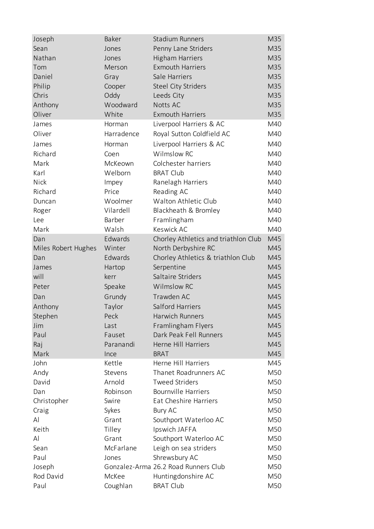| Joseph              | Baker      | <b>Stadium Runners</b>               | M35 |
|---------------------|------------|--------------------------------------|-----|
| Sean                | Jones      | Penny Lane Striders                  | M35 |
| Nathan              | Jones      | <b>Higham Harriers</b>               | M35 |
| Tom                 | Merson     | <b>Exmouth Harriers</b>              | M35 |
| Daniel              | Gray       | Sale Harriers                        | M35 |
| Philip              | Cooper     | Steel City Striders                  | M35 |
| Chris               | Oddy       | Leeds City                           | M35 |
| Anthony             | Woodward   | Notts AC                             | M35 |
| Oliver              | White      | <b>Exmouth Harriers</b>              | M35 |
| James               | Horman     | Liverpool Harriers & AC              | M40 |
| Oliver              | Harradence | Royal Sutton Coldfield AC            | M40 |
| James               | Horman     | Liverpool Harriers & AC              | M40 |
| Richard             | Coen       | Wilmslow RC                          | M40 |
| Mark                | McKeown    | Colchester harriers                  | M40 |
| Karl                | Welborn    | <b>BRAT Club</b>                     | M40 |
| <b>Nick</b>         | Impey      | Ranelagh Harriers                    | M40 |
| Richard             | Price      | Reading AC                           | M40 |
| Duncan              | Woolmer    | Walton Athletic Club                 | M40 |
| Roger               | Vilardell  | Blackheath & Bromley                 | M40 |
| Lee                 | Barber     | Framlingham                          | M40 |
| Mark                | Walsh      | Keswick AC                           | M40 |
| Dan                 | Edwards    | Chorley Athletics and triathlon Club | M45 |
| Miles Robert Hughes | Winter     | North Derbyshire RC                  | M45 |
| Dan                 | Edwards    | Chorley Athletics & triathlon Club   | M45 |
| James               | Hartop     | Serpentine                           | M45 |
| will                | kerr       | Saltaire Striders                    | M45 |
| Peter               | Speake     | Wilmslow RC                          | M45 |
| Dan                 | Grundy     | Trawden AC                           | M45 |
| Anthony             | Taylor     | Salford Harriers                     | M45 |
| Stephen             | Peck       | Harwich Runners                      | M45 |
| Jim                 | Last       | Framlingham Flyers                   | M45 |
| Paul                | Fauset     | Dark Peak Fell Runners               | M45 |
| Raj                 | Paranandi  | Herne Hill Harriers                  | M45 |
| Mark                | Ince       | <b>BRAT</b>                          | M45 |
| John                | Kettle     | Herne Hill Harriers                  | M45 |
| Andy                | Stevens    | Thanet Roadrunners AC                | M50 |
| David               | Arnold     | <b>Tweed Striders</b>                | M50 |
| Dan                 | Robinson   | <b>Bournville Harriers</b>           | M50 |
| Christopher         | Swire      | Eat Cheshire Harriers                | M50 |
| Craig               | Sykes      | Bury AC                              | M50 |
| Al                  | Grant      | Southport Waterloo AC                | M50 |
| Keith               | Tilley     | Ipswich JAFFA                        | M50 |
| Al                  | Grant      | Southport Waterloo AC                | M50 |
| Sean                | McFarlane  | Leigh on sea striders                | M50 |
| Paul                | Jones      | Shrewsbury AC                        | M50 |
| Joseph              |            | Gonzalez-Arma 26.2 Road Runners Club | M50 |
| Rod David           | McKee      | Huntingdonshire AC                   | M50 |
| Paul                | Coughlan   | <b>BRAT Club</b>                     | M50 |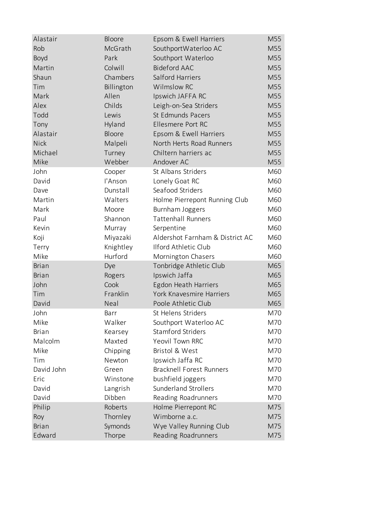| Alastair     | Bloore     | Epsom & Ewell Harriers          | M55 |
|--------------|------------|---------------------------------|-----|
| Rob          | McGrath    | SouthportWaterloo AC            | M55 |
| Boyd         | Park       | Southport Waterloo              | M55 |
| Martin       | Colwill    | <b>Bideford AAC</b>             | M55 |
| Shaun        | Chambers   | Salford Harriers                | M55 |
| Tim          | Billington | Wilmslow RC                     | M55 |
| Mark         | Allen      | Ipswich JAFFA RC                | M55 |
| Alex         | Childs     | Leigh-on-Sea Striders           | M55 |
| Todd         | Lewis      | St Edmunds Pacers               | M55 |
| Tony         | Hyland     | Ellesmere Port RC               | M55 |
| Alastair     | Bloore     | Epsom & Ewell Harriers          | M55 |
| <b>Nick</b>  | Malpeli    | North Herts Road Runners        | M55 |
| Michael      | Turney     | Chiltern harriers ac            | M55 |
| Mike         | Webber     | Andover AC                      | M55 |
| John         | Cooper     | St Albans Striders              | M60 |
| David        | l'Anson    | Lonely Goat RC                  | M60 |
| Dave         | Dunstall   | Seafood Striders                | M60 |
| Martin       | Walters    | Holme Pierrepont Running Club   | M60 |
| Mark         | Moore      | Burnham Joggers                 | M60 |
| Paul         | Shannon    | <b>Tattenhall Runners</b>       | M60 |
| Kevin        | Murray     | Serpentine                      | M60 |
| Koji         | Miyazaki   | Aldershot Farnham & District AC | M60 |
| Terry        | Knightley  | Ilford Athletic Club            | M60 |
| Mike         | Hurford    | Mornington Chasers              | M60 |
| <b>Brian</b> | Dye        | Tonbridge Athletic Club         | M65 |
| <b>Brian</b> | Rogers     | Ipswich Jaffa                   | M65 |
| John         | Cook       | Egdon Heath Harriers            | M65 |
| Tim          | Franklin   | York Knavesmire Harriers        | M65 |
| David        | Neal       | Poole Athletic Club             | M65 |
| John         | Barr       | St Helens Striders              | M70 |
| Mike         | Walker     | Southport Waterloo AC           | M70 |
| <b>Brian</b> | Kearsey    | <b>Stamford Striders</b>        | M70 |
| Malcolm      | Maxted     | <b>Yeovil Town RRC</b>          | M70 |
| Mike         | Chipping   | Bristol & West                  | M70 |
| Tim          | Newton     | Ipswich Jaffa RC                | M70 |
| David John   | Green      | <b>Bracknell Forest Runners</b> | M70 |
| Eric         | Winstone   | bushfield joggers               | M70 |
| David        | Langrish   | <b>Sunderland Strollers</b>     | M70 |
| David        | Dibben     | Reading Roadrunners             | M70 |
| Philip       | Roberts    | Holme Pierrepont RC             | M75 |
| Roy          | Thornley   | Wimborne a.c.                   | M75 |
| <b>Brian</b> | Symonds    | Wye Valley Running Club         | M75 |
| Edward       | Thorpe     | Reading Roadrunners             | M75 |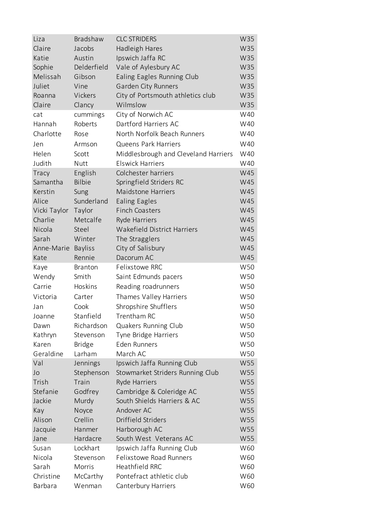| Liza         | Bradshaw       | <b>CLC STRIDERS</b>                  | W35 |
|--------------|----------------|--------------------------------------|-----|
| Claire       | Jacobs         | Hadleigh Hares                       | W35 |
| Katie        | Austin         | Ipswich Jaffa RC                     | W35 |
| Sophie       | Delderfield    | Vale of Aylesbury AC                 | W35 |
| Melissah     | Gibson         | Ealing Eagles Running Club           | W35 |
| Juliet       | Vine           | Garden City Runners                  | W35 |
| Roanna       | Vickers        | City of Portsmouth athletics club    | W35 |
| Claire       | Clancy         | Wilmslow                             | W35 |
| cat          | cummings       | City of Norwich AC                   | W40 |
| Hannah       | Roberts        | Dartford Harriers AC                 | W40 |
| Charlotte    | Rose           | North Norfolk Beach Runners          | W40 |
| Jen          | Armson         | <b>Queens Park Harriers</b>          | W40 |
| Helen        | Scott          | Middlesbrough and Cleveland Harriers | W40 |
| Judith       | Nutt           | <b>Elswick Harriers</b>              | W40 |
| Tracy        | English        | Colchester harriers                  | W45 |
| Samantha     | Bilbie         | Springfield Striders RC              | W45 |
| Kerstin      | Sung           | <b>Maidstone Harriers</b>            | W45 |
| Alice        | Sunderland     | <b>Ealing Eagles</b>                 | W45 |
| Vicki Taylor | Taylor         | <b>Finch Coasters</b>                | W45 |
| Charlie      | Metcalfe       | Ryde Harriers                        | W45 |
| Nicola       | Steel          | Wakefield District Harriers          | W45 |
| Sarah        | Winter         | The Stragglers                       | W45 |
| Anne-Marie   | <b>Bayliss</b> | City of Salisbury                    | W45 |
| Kate         | Rennie         | Dacorum AC                           | W45 |
| Kaye         | <b>Branton</b> | Felixstowe RRC                       | W50 |
| Wendy        | Smith          | Saint Edmunds pacers                 | W50 |
| Carrie       | Hoskins        | Reading roadrunners                  | W50 |
| Victoria     | Carter         | Thames Valley Harriers               | W50 |
| Jan          | Cook           | Shropshire Shufflers                 | W50 |
| Joanne       | Stanfield      | Trentham RC                          | W50 |
| Dawn         | Richardson     | Quakers Running Club                 | W50 |
| Kathryn      | Stevenson      | Tyne Bridge Harriers                 | W50 |
| Karen        | <b>Bridge</b>  | <b>Eden Runners</b>                  | W50 |
| Geraldine    | Larham         | March AC                             | W50 |
| Val          | Jennings       | Ipswich Jaffa Running Club           | W55 |
| Jo           | Stephenson     | Stowmarket Striders Running Club     | W55 |
| Trish        | Train          | Ryde Harriers                        | W55 |
| Stefanie     | Godfrey        | Cambridge & Coleridge AC             | W55 |
| Jackie       | Murdy          | South Shields Harriers & AC          | W55 |
| Kay          | Noyce          | Andover AC                           | W55 |
| Alison       | Crellin        | Driffield Striders                   | W55 |
| Jacquie      | Hanmer         | Harborough AC                        | W55 |
| Jane         | Hardacre       | South West Veterans AC               | W55 |
| Susan        | Lockhart       | Ipswich Jaffa Running Club           | W60 |
| Nicola       | Stevenson      | <b>Felixstowe Road Runners</b>       | W60 |
| Sarah        | Morris         | Heathfield RRC                       | W60 |
| Christine    | McCarthy       | Pontefract athletic club             | W60 |
| Barbara      | Wenman         | Canterbury Harriers                  | W60 |